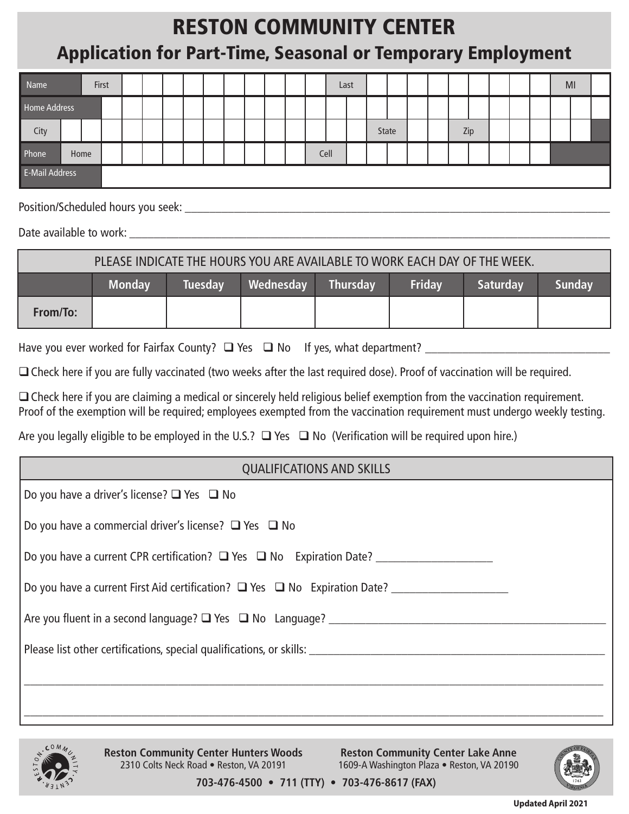## RESTON COMMUNITY CENTER Application for Part-Time, Seasonal or Temporary Employment

| Name                  |  | First |  |  |  |  |  |  |  |  |  |      | Last |       |  |     |  |  | MI |  |
|-----------------------|--|-------|--|--|--|--|--|--|--|--|--|------|------|-------|--|-----|--|--|----|--|
| Home Address          |  |       |  |  |  |  |  |  |  |  |  |      |      |       |  |     |  |  |    |  |
| City                  |  |       |  |  |  |  |  |  |  |  |  |      |      | State |  | Zip |  |  |    |  |
| Phone                 |  | Home  |  |  |  |  |  |  |  |  |  | Cell |      |       |  |     |  |  |    |  |
| <b>E-Mail Address</b> |  |       |  |  |  |  |  |  |  |  |  |      |      |       |  |     |  |  |    |  |

Position/Scheduled hours you seek: \_\_\_\_\_\_\_\_\_\_\_\_\_\_\_\_\_\_\_\_\_\_\_\_\_\_\_\_\_\_\_\_\_\_\_\_\_\_\_\_\_\_\_\_\_\_\_\_\_\_\_\_\_\_\_\_\_\_\_\_\_\_\_\_\_\_\_\_\_

Date available to work: \_\_\_\_\_\_\_\_\_\_\_\_\_\_\_\_\_\_\_\_\_\_\_\_\_\_\_\_\_\_\_\_\_\_\_\_\_\_\_\_\_\_\_\_\_\_\_\_\_\_\_\_\_\_\_\_\_\_\_\_\_\_\_\_\_\_\_\_\_\_\_\_\_\_\_\_\_\_

| PLEASE INDICATE THE HOURS YOU ARE AVAILABLE TO WORK EACH DAY OF THE WEEK. |               |                |           |                 |               |                 |        |  |  |  |  |
|---------------------------------------------------------------------------|---------------|----------------|-----------|-----------------|---------------|-----------------|--------|--|--|--|--|
|                                                                           | <b>Monday</b> | <b>Tuesday</b> | Wednesday | <b>Thursdav</b> | <b>Fridav</b> | <b>Saturdav</b> | Sunday |  |  |  |  |
| From/To:                                                                  |               |                |           |                 |               |                 |        |  |  |  |  |

Have you ever worked for Fairfax County?  $\Box$  Yes  $\Box$  No If yes, what department?

□ Check here if you are fully vaccinated (two weeks after the last required dose). Proof of vaccination will be required.

 $\Box$  Check here if you are claiming a medical or sincerely held religious belief exemption from the vaccination requirement. Proof of the exemption will be required; employees exempted from the vaccination requirement must undergo weekly testing.

Are you legally eligible to be employed in the U.S.?  $\Box$  Yes  $\Box$  No (Verification will be required upon hire.)



**Reston Community Center Lake Anne** 1609-A Washington Plaza • Reston, VA 20190



**703-476-4500 • 711 (TTY) • 703-476-8617 (FAX)**